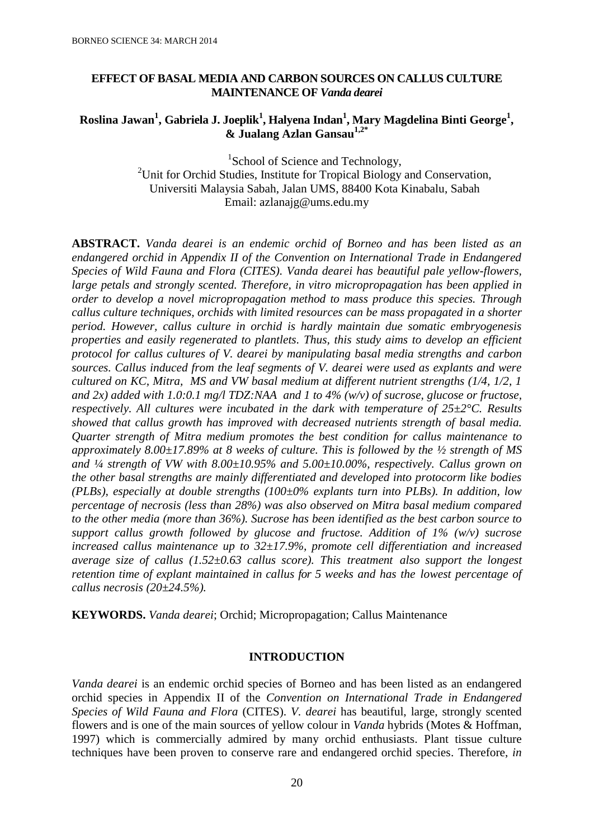# **EFFECT OF BASAL MEDIA AND CARBON SOURCES ON CALLUS CULTURE MAINTENANCE OF** *Vanda dearei*

# **Roslina Jawan<sup>1</sup> , Gabriela J. Joeplik<sup>1</sup> , Halyena Indan<sup>1</sup> , Mary Magdelina Binti George<sup>1</sup> , & Jualang Azlan Gansau1,2\***

<sup>1</sup>School of Science and Technology, <sup>2</sup>Unit for Orchid Studies, Institute for Tropical Biology and Conservation, Universiti Malaysia Sabah, Jalan UMS, 88400 Kota Kinabalu, Sabah Email: [azlanajg@ums.edu.my](mailto:azlanajg@ums.edu.my)

**ABSTRACT.** *Vanda dearei is an endemic orchid of Borneo and has been listed as an endangered orchid in Appendix II of the Convention on International Trade in Endangered Species of Wild Fauna and Flora (CITES). Vanda dearei has beautiful pale yellow-flowers, large petals and strongly scented. Therefore, in vitro micropropagation has been applied in order to develop a novel micropropagation method to mass produce this species. Through callus culture techniques, orchids with limited resources can be mass propagated in a shorter period. However, callus culture in orchid is hardly maintain due somatic embryogenesis properties and easily regenerated to plantlets. Thus, this study aims to develop an efficient protocol for callus cultures of V. dearei by manipulating basal media strengths and carbon sources. Callus induced from the leaf segments of V. dearei were used as explants and were cultured on KC, Mitra, MS and VW basal medium at different nutrient strengths (1/4, 1/2, 1 and 2x) added with 1.0:0.1 mg/l TDZ:NAA and 1 to 4% (w/v) of sucrose, glucose or fructose, respectively. All cultures were incubated in the dark with temperature of 25±2°C. Results showed that callus growth has improved with decreased nutrients strength of basal media. Quarter strength of Mitra medium promotes the best condition for callus maintenance to approximately 8.00±17.89% at 8 weeks of culture. This is followed by the ½ strength of MS and ¼ strength of VW with 8.00±10.95% and 5.00±10.00%, respectively. Callus grown on the other basal strengths are mainly differentiated and developed into protocorm like bodies (PLBs), especially at double strengths (100±0% explants turn into PLBs). In addition, low percentage of necrosis (less than 28%) was also observed on Mitra basal medium compared to the other media (more than 36%). Sucrose has been identified as the best carbon source to support callus growth followed by glucose and fructose. Addition of 1% (w/v) sucrose increased callus maintenance up to 32±17.9%, promote cell differentiation and increased average size of callus (1.52±0.63 callus score). This treatment also support the longest retention time of explant maintained in callus for 5 weeks and has the lowest percentage of callus necrosis (20±24.5%).* 

**KEYWORDS.** *Vanda dearei*; Orchid; Micropropagation; Callus Maintenance

# **INTRODUCTION**

*Vanda dearei* is an endemic orchid species of Borneo and has been listed as an endangered orchid species in Appendix II of the *Convention on International Trade in Endangered Species of Wild Fauna and Flora* (CITES). *V. dearei* has beautiful, large, strongly scented flowers and is one of the main sources of yellow colour in *Vanda* hybrids (Motes & Hoffman, 1997) which is commercially admired by many orchid enthusiasts. Plant tissue culture techniques have been proven to conserve rare and endangered orchid species. Therefore, *in*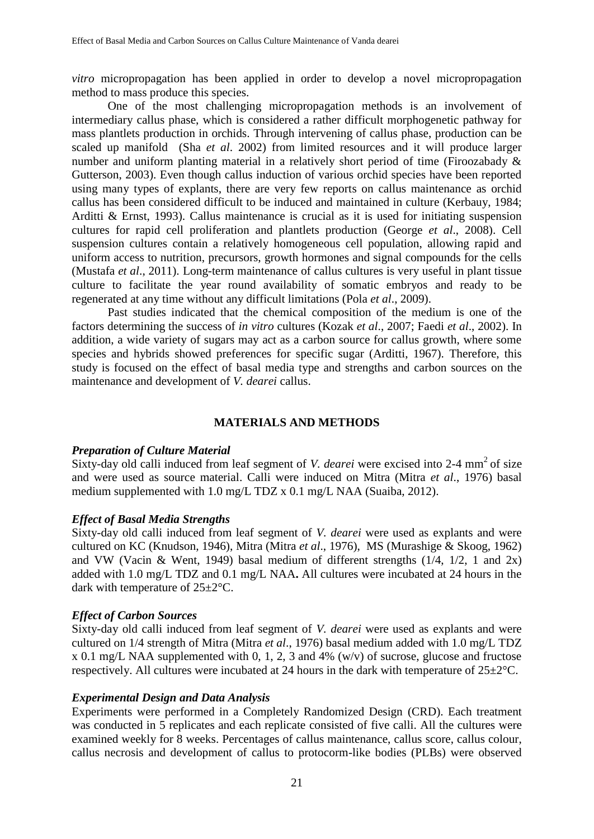*vitro* micropropagation has been applied in order to develop a novel micropropagation method to mass produce this species.

One of the most challenging micropropagation methods is an involvement of intermediary callus phase, which is considered a rather difficult morphogenetic pathway for mass plantlets production in orchids. Through intervening of callus phase, production can be scaled up manifold (Sha *et al*. 2002) from limited resources and it will produce larger number and uniform planting material in a relatively short period of time (Firoozabady & Gutterson, 2003). Even though callus induction of various orchid species have been reported using many types of explants, there are very few reports on callus maintenance as orchid callus has been considered difficult to be induced and maintained in culture (Kerbauy, 1984; Arditti & Ernst, 1993). Callus maintenance is crucial as it is used for initiating suspension cultures for rapid cell proliferation and plantlets production (George *et al*., 2008). Cell suspension cultures contain a relatively homogeneous cell population, allowing rapid and uniform access to nutrition, precursors, growth hormones and signal compounds for the cells (Mustafa *et al*., 2011). Long-term maintenance of callus cultures is very useful in plant tissue culture to facilitate the year round availability of somatic embryos and ready to be regenerated at any time without any difficult limitations (Pola *et al*., 2009).

Past studies indicated that the chemical composition of the medium is one of the factors determining the success of *in vitro* cultures (Kozak *et al*., 2007; Faedi *et al*., 2002). In addition, a wide variety of sugars may act as a carbon source for callus growth, where some species and hybrids showed preferences for specific sugar (Arditti, 1967). Therefore, this study is focused on the effect of basal media type and strengths and carbon sources on the maintenance and development of *V. dearei* callus.

# **MATERIALS AND METHODS**

#### *Preparation of Culture Material*

Sixty-day old calli induced from leaf segment of *V. dearei* were excised into 2-4 mm<sup>2</sup> of size and were used as source material. Calli were induced on Mitra (Mitra *et al*., 1976) basal medium supplemented with 1.0 mg/L TDZ x 0.1 mg/L NAA (Suaiba, 2012).

# *Effect of Basal Media Strengths*

Sixty-day old calli induced from leaf segment of *V. dearei* were used as explants and were cultured on KC (Knudson, 1946), Mitra (Mitra *et al*., 1976), MS (Murashige & Skoog, 1962) and VW (Vacin & Went, 1949) basal medium of different strengths (1/4, 1/2, 1 and 2x) added with 1.0 mg/L TDZ and 0.1 mg/L NAA**.** All cultures were incubated at 24 hours in the dark with temperature of 25±2°C.

# *Effect of Carbon Sources*

Sixty-day old calli induced from leaf segment of *V. dearei* were used as explants and were cultured on 1/4 strength of Mitra (Mitra *et al*., 1976) basal medium added with 1.0 mg/L TDZ x 0.1 mg/L NAA supplemented with 0, 1, 2, 3 and 4% (w/v) of sucrose, glucose and fructose respectively. All cultures were incubated at 24 hours in the dark with temperature of 25±2°C.

#### *Experimental Design and Data Analysis*

Experiments were performed in a Completely Randomized Design (CRD). Each treatment was conducted in 5 replicates and each replicate consisted of five calli. All the cultures were examined weekly for 8 weeks. Percentages of callus maintenance, callus score, callus colour, callus necrosis and development of callus to protocorm-like bodies (PLBs) were observed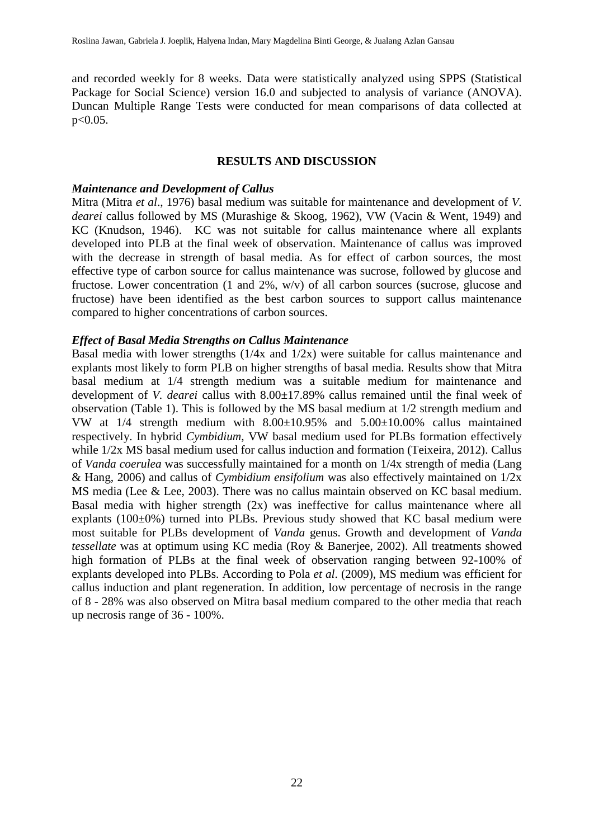and recorded weekly for 8 weeks. Data were statistically analyzed using SPPS (Statistical Package for Social Science) version 16.0 and subjected to analysis of variance (ANOVA). Duncan Multiple Range Tests were conducted for mean comparisons of data collected at p<0.05.

### **RESULTS AND DISCUSSION**

### *Maintenance and Development of Callus*

Mitra (Mitra *et al*., 1976) basal medium was suitable for maintenance and development of *V. dearei* callus followed by MS (Murashige & Skoog, 1962), VW (Vacin & Went, 1949) and KC (Knudson, 1946). KC was not suitable for callus maintenance where all explants developed into PLB at the final week of observation. Maintenance of callus was improved with the decrease in strength of basal media. As for effect of carbon sources, the most effective type of carbon source for callus maintenance was sucrose, followed by glucose and fructose. Lower concentration (1 and 2%, w/v) of all carbon sources (sucrose, glucose and fructose) have been identified as the best carbon sources to support callus maintenance compared to higher concentrations of carbon sources.

### *Effect of Basal Media Strengths on Callus Maintenance*

Basal media with lower strengths (1/4x and 1/2x) were suitable for callus maintenance and explants most likely to form PLB on higher strengths of basal media. Results show that Mitra basal medium at 1/4 strength medium was a suitable medium for maintenance and development of *V. dearei* callus with 8.00±17.89% callus remained until the final week of observation (Table 1). This is followed by the MS basal medium at 1/2 strength medium and VW at 1/4 strength medium with 8.00±10.95% and 5.00±10.00% callus maintained respectively. In hybrid *Cymbidium*, VW basal medium used for PLBs formation effectively while  $1/2x$  MS basal medium used for callus induction and formation (Teixeira, 2012). Callus of *Vanda coerulea* was successfully maintained for a month on 1/4x strength of media (Lang & Hang, 2006) and callus of *Cymbidium ensifolium* was also effectively maintained on 1/2x MS media (Lee & Lee, 2003). There was no callus maintain observed on KC basal medium. Basal media with higher strength (2x) was ineffective for callus maintenance where all explants (100±0%) turned into PLBs. Previous study showed that KC basal medium were most suitable for PLBs development of *Vanda* genus. Growth and development of *Vanda tessellate* was at optimum using KC media (Roy & Banerjee, 2002). All treatments showed high formation of PLBs at the final week of observation ranging between 92-100% of explants developed into PLBs. According to Pola *et al*. (2009), MS medium was efficient for callus induction and plant regeneration. In addition, low percentage of necrosis in the range of 8 - 28% was also observed on Mitra basal medium compared to the other media that reach up necrosis range of 36 - 100%.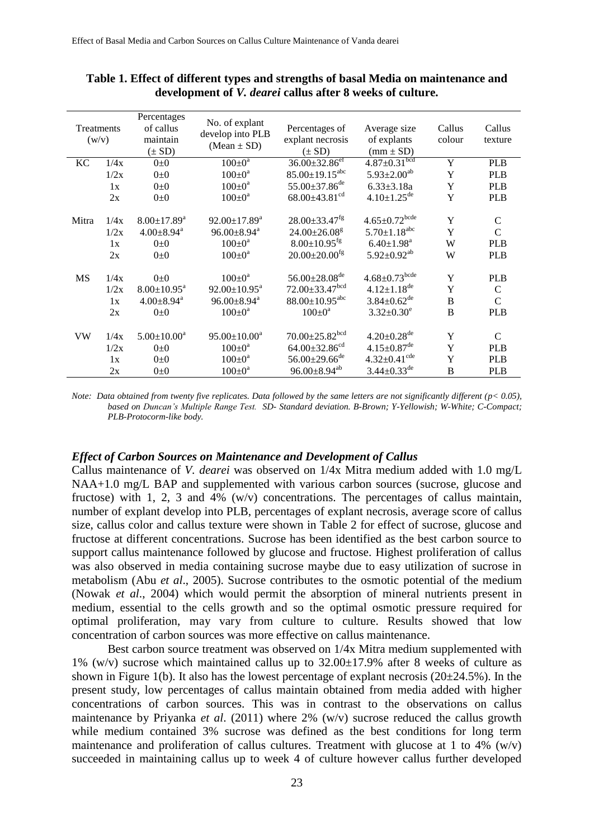| Percentages<br>No. of explant<br>of callus<br>Callus<br>Callus<br>Treatments<br>Percentages of<br>Average size<br>develop into PLB<br>explant necrosis<br>of explants<br>maintain<br>colour<br>(w/v)<br>$(Mean \pm SD)$<br>$(\pm SD)$<br>$(\pm SD)$<br>$(mm \pm SD)$<br>$36.00 \pm 32.86$ <sup>ef</sup><br>$4.87 \pm 0.31$ bcd<br>$100\pm0^a$<br>Y<br>$0\pm 0$<br>KС<br>1/4x<br><b>PLB</b><br>$85.00 \pm 19.15$ <sup>abc</sup><br>$5.93 \pm 2.00^{ab}$<br>$100 \pm 0^a$<br>Y<br><b>PLB</b><br>1/2x<br>$0\pm 0$<br>$55.00 \pm 37.86$ <sup>de</sup><br>$100 \pm 0^a$<br>Y<br>$6.33 \pm 3.18a$<br><b>PLB</b><br>1x<br>$0\pm 0$<br>$4.10 \pm 1.25$ <sup>de</sup><br>$68.00\pm43.81$ <sup>cd</sup><br>Y<br>$100 \pm 0^a$<br>2x<br><b>PLB</b><br>$0\pm 0$<br>$4.65 \pm 0.72$ bcde<br>$28.00 \pm 33.47$ <sup>fg</sup><br>Y<br>$92.00 \pm 17.89^a$<br>$\mathsf{C}$<br>$8.00 \pm 17.89$ <sup>a</sup><br>Mitra<br>1/4x<br>$5.70 \pm 1.18$ <sup>abc</sup><br>Y<br>$96.00 \pm 8.94^a$<br>$\mathcal{C}$<br>$4.00 \pm 8.94$ <sup>a</sup><br>$24.00 \pm 26.08$ <sup>g</sup><br>1/2x<br>$8.00 \pm 10.95$ <sup>fg</sup><br>$100 \pm 0^a$<br>$6.40 \pm 1.98$ <sup>a</sup><br>W<br><b>PLB</b><br>$0\pm 0$<br>1x<br>$5.92 \pm 0.92$ <sup>ab</sup><br>$20.00 \pm 20.00$ <sup>fg</sup><br>$100 \pm 0^a$<br>W<br>2x<br><b>PLB</b><br>$0\pm 0$ |      |    |          |               |                                 |                      |   |            |
|------------------------------------------------------------------------------------------------------------------------------------------------------------------------------------------------------------------------------------------------------------------------------------------------------------------------------------------------------------------------------------------------------------------------------------------------------------------------------------------------------------------------------------------------------------------------------------------------------------------------------------------------------------------------------------------------------------------------------------------------------------------------------------------------------------------------------------------------------------------------------------------------------------------------------------------------------------------------------------------------------------------------------------------------------------------------------------------------------------------------------------------------------------------------------------------------------------------------------------------------------------------------------------------------------------------------|------|----|----------|---------------|---------------------------------|----------------------|---|------------|
|                                                                                                                                                                                                                                                                                                                                                                                                                                                                                                                                                                                                                                                                                                                                                                                                                                                                                                                                                                                                                                                                                                                                                                                                                                                                                                                        |      |    |          |               |                                 |                      |   | texture    |
|                                                                                                                                                                                                                                                                                                                                                                                                                                                                                                                                                                                                                                                                                                                                                                                                                                                                                                                                                                                                                                                                                                                                                                                                                                                                                                                        |      |    |          |               |                                 |                      |   |            |
|                                                                                                                                                                                                                                                                                                                                                                                                                                                                                                                                                                                                                                                                                                                                                                                                                                                                                                                                                                                                                                                                                                                                                                                                                                                                                                                        |      |    |          |               |                                 |                      |   |            |
|                                                                                                                                                                                                                                                                                                                                                                                                                                                                                                                                                                                                                                                                                                                                                                                                                                                                                                                                                                                                                                                                                                                                                                                                                                                                                                                        |      |    |          |               |                                 |                      |   |            |
|                                                                                                                                                                                                                                                                                                                                                                                                                                                                                                                                                                                                                                                                                                                                                                                                                                                                                                                                                                                                                                                                                                                                                                                                                                                                                                                        |      |    |          |               |                                 |                      |   |            |
|                                                                                                                                                                                                                                                                                                                                                                                                                                                                                                                                                                                                                                                                                                                                                                                                                                                                                                                                                                                                                                                                                                                                                                                                                                                                                                                        |      |    |          |               |                                 |                      |   |            |
|                                                                                                                                                                                                                                                                                                                                                                                                                                                                                                                                                                                                                                                                                                                                                                                                                                                                                                                                                                                                                                                                                                                                                                                                                                                                                                                        |      |    |          |               |                                 |                      |   |            |
|                                                                                                                                                                                                                                                                                                                                                                                                                                                                                                                                                                                                                                                                                                                                                                                                                                                                                                                                                                                                                                                                                                                                                                                                                                                                                                                        |      |    |          |               |                                 |                      |   |            |
|                                                                                                                                                                                                                                                                                                                                                                                                                                                                                                                                                                                                                                                                                                                                                                                                                                                                                                                                                                                                                                                                                                                                                                                                                                                                                                                        |      |    |          |               |                                 |                      |   |            |
|                                                                                                                                                                                                                                                                                                                                                                                                                                                                                                                                                                                                                                                                                                                                                                                                                                                                                                                                                                                                                                                                                                                                                                                                                                                                                                                        |      |    |          |               |                                 |                      |   |            |
|                                                                                                                                                                                                                                                                                                                                                                                                                                                                                                                                                                                                                                                                                                                                                                                                                                                                                                                                                                                                                                                                                                                                                                                                                                                                                                                        |      |    |          |               |                                 |                      |   |            |
|                                                                                                                                                                                                                                                                                                                                                                                                                                                                                                                                                                                                                                                                                                                                                                                                                                                                                                                                                                                                                                                                                                                                                                                                                                                                                                                        | 1/4x | MS | $0\pm 0$ | $100 \pm 0^a$ | $56.00 \pm 28.08$ <sup>de</sup> | $4.68 \pm 0.73$ bcde | Y | <b>PLB</b> |
| 72.00±33.47bcd<br>$4.12 \pm 1.18$ <sup>de</sup><br>Y<br>$8.00 \pm 10.95^{\text{a}}$<br>$92.00 \pm 10.95^a$<br>1/2x<br>$\mathsf{C}$                                                                                                                                                                                                                                                                                                                                                                                                                                                                                                                                                                                                                                                                                                                                                                                                                                                                                                                                                                                                                                                                                                                                                                                     |      |    |          |               |                                 |                      |   |            |
| $88.00 \pm 10.95$ <sup>abc</sup><br>$3.84 \pm 0.62$ <sup>de</sup><br>$\overline{B}$<br>$4.00 \pm 8.94$ <sup>a</sup><br>$96.00 \pm 8.94^a$<br>$\mathcal{C}$<br>1x                                                                                                                                                                                                                                                                                                                                                                                                                                                                                                                                                                                                                                                                                                                                                                                                                                                                                                                                                                                                                                                                                                                                                       |      |    |          |               |                                 |                      |   |            |
| B<br>$100 \pm 0^a$<br>$100 \pm 0^{\text{a}}$<br>$3.32 \pm 0.30^e$<br><b>PLB</b><br>2x<br>$0\pm 0$                                                                                                                                                                                                                                                                                                                                                                                                                                                                                                                                                                                                                                                                                                                                                                                                                                                                                                                                                                                                                                                                                                                                                                                                                      |      |    |          |               |                                 |                      |   |            |
|                                                                                                                                                                                                                                                                                                                                                                                                                                                                                                                                                                                                                                                                                                                                                                                                                                                                                                                                                                                                                                                                                                                                                                                                                                                                                                                        |      |    |          |               |                                 |                      |   |            |
| $70.00 \pm 25.82$ <sup>bcd</sup><br>$4.20 \pm 0.28$ <sup>de</sup><br>Y<br>$5.00 \pm 10.00^a$<br>$95.00 \pm 10.00^a$<br>$\mathcal{C}$<br><b>VW</b><br>1/4x                                                                                                                                                                                                                                                                                                                                                                                                                                                                                                                                                                                                                                                                                                                                                                                                                                                                                                                                                                                                                                                                                                                                                              |      |    |          |               |                                 |                      |   |            |
| $4.15 \pm 0.87$ <sup>de</sup><br>$64.00 \pm 32.86$ <sup>cd</sup><br>Y<br>$100 \pm 0^a$<br>$0\pm 0$<br><b>PLB</b><br>1/2x                                                                                                                                                                                                                                                                                                                                                                                                                                                                                                                                                                                                                                                                                                                                                                                                                                                                                                                                                                                                                                                                                                                                                                                               |      |    |          |               |                                 |                      |   |            |
| $56.00 \pm 29.66$ <sup>de</sup><br>$4.32 \pm 0.41$ <sup>cde</sup><br>Y<br>$100 \pm 0^a$<br><b>PLB</b><br>1x<br>$0\pm 0$                                                                                                                                                                                                                                                                                                                                                                                                                                                                                                                                                                                                                                                                                                                                                                                                                                                                                                                                                                                                                                                                                                                                                                                                |      |    |          |               |                                 |                      |   |            |
| $96.00 \pm 8.94^{ab}$<br>$3.44 \pm 0.33$ <sup>de</sup><br>$100 \pm 0^{\text{a}}$<br>B<br>2x<br><b>PLB</b><br>$0\pm 0$                                                                                                                                                                                                                                                                                                                                                                                                                                                                                                                                                                                                                                                                                                                                                                                                                                                                                                                                                                                                                                                                                                                                                                                                  |      |    |          |               |                                 |                      |   |            |

# **Table 1. Effect of different types and strengths of basal Media on maintenance and development of** *V. dearei* **callus after 8 weeks of culture.**

*Note: Data obtained from twenty five replicates. Data followed by the same letters are not significantly different (p< 0.05), based on Duncan's Multiple Range Test. SD- Standard deviation. B-Brown; Y-Yellowish; W-White; C-Compact; PLB-Protocorm-like body.*

#### *Effect of Carbon Sources on Maintenance and Development of Callus*

Callus maintenance of *V. dearei* was observed on 1/4x Mitra medium added with 1.0 mg/L NAA+1.0 mg/L BAP and supplemented with various carbon sources (sucrose, glucose and fructose) with 1, 2, 3 and 4% (w/v) concentrations. The percentages of callus maintain, number of explant develop into PLB, percentages of explant necrosis, average score of callus size, callus color and callus texture were shown in Table 2 for effect of sucrose, glucose and fructose at different concentrations. Sucrose has been identified as the best carbon source to support callus maintenance followed by glucose and fructose. Highest proliferation of callus was also observed in media containing sucrose maybe due to easy utilization of sucrose in metabolism (Abu *et al*., 2005). Sucrose contributes to the osmotic potential of the medium (Nowak *et al*., 2004) which would permit the absorption of mineral nutrients present in medium, essential to the cells growth and so the optimal osmotic pressure required for optimal proliferation, may vary from culture to culture. Results showed that low concentration of carbon sources was more effective on callus maintenance.

Best carbon source treatment was observed on 1/4x Mitra medium supplemented with 1% (w/v) sucrose which maintained callus up to  $32.00\pm17.9$ % after 8 weeks of culture as shown in Figure 1(b). It also has the lowest percentage of explant necrosis  $(20\pm 24.5\%)$ . In the present study, low percentages of callus maintain obtained from media added with higher concentrations of carbon sources. This was in contrast to the observations on callus maintenance by Priyanka *et al*. (2011) where 2% (w/v) sucrose reduced the callus growth while medium contained 3% sucrose was defined as the best conditions for long term maintenance and proliferation of callus cultures. Treatment with glucose at 1 to 4%  $(w/v)$ succeeded in maintaining callus up to week 4 of culture however callus further developed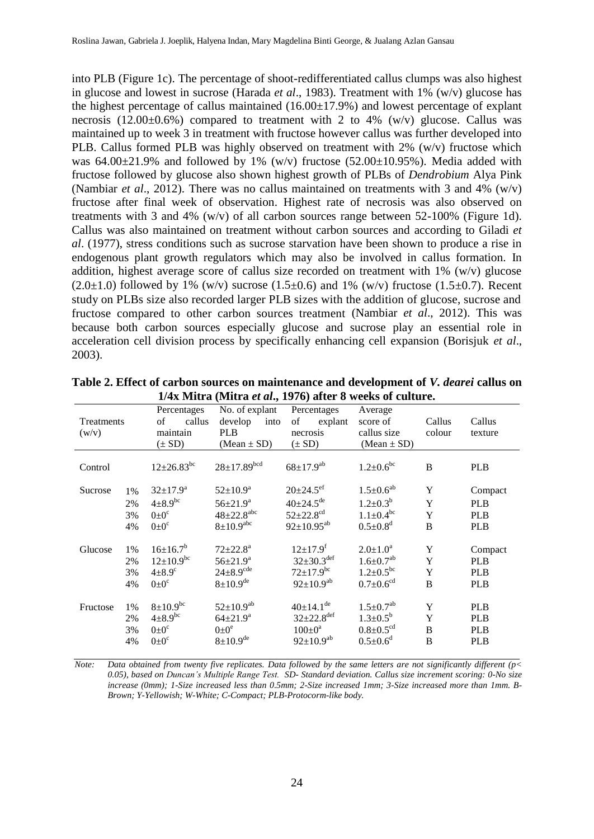into PLB (Figure 1c). The percentage of shoot-redifferentiated callus clumps was also highest in glucose and lowest in sucrose (Harada *et al*., 1983). Treatment with 1% (w/v) glucose has the highest percentage of callus maintained  $(16.00\pm17.9\%)$  and lowest percentage of explant necrosis  $(12.00\pm0.6\%)$  compared to treatment with 2 to 4% (w/v) glucose. Callus was maintained up to week 3 in treatment with fructose however callus was further developed into PLB. Callus formed PLB was highly observed on treatment with 2% (w/v) fructose which was  $64.00\pm21.9\%$  and followed by 1% (w/v) fructose (52.00 $\pm10.95\%$ ). Media added with fructose followed by glucose also shown highest growth of PLBs of *Dendrobium* Alya Pink (Nambiar *et al*., 2012). There was no callus maintained on treatments with 3 and 4% (w/v) fructose after final week of observation. Highest rate of necrosis was also observed on treatments with 3 and 4% (w/v) of all carbon sources range between 52-100% (Figure 1d). Callus was also maintained on treatment without carbon sources and according to Giladi *et al*. (1977), stress conditions such as sucrose starvation have been shown to produce a rise in endogenous plant growth regulators which may also be involved in callus formation. In addition, highest average score of callus size recorded on treatment with 1% (w/v) glucose  $(2.0\pm1.0)$  followed by 1% (w/v) sucrose  $(1.5\pm0.6)$  and 1% (w/v) fructose  $(1.5\pm0.7)$ . Recent study on PLBs size also recorded larger PLB sizes with the addition of glucose, sucrose and fructose compared to other carbon sources treatment (Nambiar *et al*., 2012). This was because both carbon sources especially glucose and sucrose play an essential role in acceleration cell division process by specifically enhancing cell expansion (Borisjuk *et al*., 2003).

|            |                      | Percentages                                                             | No. of explant                                                                 | Percentages                                                                                            | Average                                                                                 |                  |                                                      |
|------------|----------------------|-------------------------------------------------------------------------|--------------------------------------------------------------------------------|--------------------------------------------------------------------------------------------------------|-----------------------------------------------------------------------------------------|------------------|------------------------------------------------------|
| Treatments |                      | of<br>callus                                                            | develop<br>into                                                                | of<br>explant                                                                                          | score of                                                                                | Callus           | Callus                                               |
| (w/v)      |                      | maintain                                                                | <b>PLB</b>                                                                     | necrosis                                                                                               | callus size                                                                             | colour           | texture                                              |
|            |                      | $(\pm SD)$                                                              | $(Mean \pm SD)$                                                                | $(\pm SD)$                                                                                             | $(Mean \pm SD)$                                                                         |                  |                                                      |
| Control    |                      | $12{\pm}26.83^{bc}$                                                     | $28 \pm 17.89^{bcd}$                                                           | $68 \pm 17.9^{ab}$                                                                                     | $1.2 \pm 0.6^{bc}$                                                                      | B                | <b>PLB</b>                                           |
| Sucrose    | $1\%$                | $32 \pm 17.9^{\circ}$                                                   | $52{\pm}10.9^{\rm a}$                                                          | $20 \pm 24.5$ <sup>ef</sup>                                                                            | $1.5 \pm 0.6^{ab}$                                                                      | Y                | Compact                                              |
|            | 2%                   | $4\pm8.9^{bc}$                                                          | $56 \pm 21.9^{\rm a}$                                                          | $40 \pm 24.5^{\text{de}}$                                                                              | $1.2 \pm 0.3^b$                                                                         | Y                | <b>PLB</b>                                           |
|            | 3%                   | $0+0^{\circ}$                                                           | $48 + 22.8$ <sup>abc</sup>                                                     | $52 \pm 22.8$ <sup>cd</sup>                                                                            | $1.1 \pm 0.4^{bc}$                                                                      | Y                | <b>PLB</b>                                           |
|            | 4%                   | $0\pm 0^{\circ}$                                                        | $8 \pm 10.9$ <sup>abc</sup>                                                    | $92 \pm 10.95^{ab}$                                                                                    | $0.5 \pm 0.8$ <sup>d</sup>                                                              | B                | <b>PLB</b>                                           |
|            |                      |                                                                         |                                                                                |                                                                                                        |                                                                                         |                  |                                                      |
| Glucose    | 1%                   | $16{\pm}16.7^b$                                                         | $72 \pm 22.8^{\text{a}}$                                                       | $12{\pm}17.9^{f}$                                                                                      | $2.0 \pm 1.0^a$                                                                         | Y                | Compact                                              |
|            | 2%                   | $12{\pm}10.9^{bc}$                                                      | $56 \pm 21.9^{\rm a}$                                                          | $32 \pm 30.3^{\text{def}}$                                                                             | $1.6 \pm 0.7^{ab}$                                                                      | Y                | <b>PLB</b>                                           |
|            | 3%                   | $4\pm8.9^\circ$                                                         | $24 \pm 8.9$ <sup>cde</sup>                                                    | $72 \pm 17.9$ <sup>bc</sup>                                                                            | $1.2 \pm 0.5^{bc}$                                                                      | Y                | <b>PLB</b>                                           |
|            | 4%                   | $0\pm0^{\circ}$                                                         | $8 \pm 10.9^{\text{de}}$                                                       | $92 \pm 10.9^{ab}$                                                                                     | $0.7 \pm 0.6$ <sup>cd</sup>                                                             | B                | <b>PLB</b>                                           |
| Fructose   | 1%<br>2%<br>3%<br>4% | $8 \pm 10.9$ bc<br>$4\pm8.9^{bc}$<br>$0\pm0^{\circ}$<br>$0\pm0^{\circ}$ | $52{\pm}10.9^{ab}$<br>$64{\pm}21.9^a$<br>$0\pm0^e$<br>$8 \pm 10.9^{\text{de}}$ | $40 \pm 14.1$ <sup>de</sup><br>$32 + 22.8$ <sup>def</sup><br>$100 \pm 0^{\rm a}$<br>$92 \pm 10.9^{ab}$ | $1.5 \pm 0.7^{ab}$<br>$1.3 \pm 0.5^b$<br>$0.8 \pm 0.5$ <sup>cd</sup><br>$0.5 \pm 0.6^d$ | Y<br>Y<br>B<br>B | <b>PLB</b><br><b>PLB</b><br><b>PLB</b><br><b>PLB</b> |

| Table 2. Effect of carbon sources on maintenance and development of <i>V. dearei</i> callus on |  |
|------------------------------------------------------------------------------------------------|--|
| 1/4x Mitra (Mitra <i>et al.</i> , 1976) after 8 weeks of culture.                              |  |

*Note: Data obtained from twenty five replicates. Data followed by the same letters are not significantly different (p< 0.05), based on Duncan's Multiple Range Test. SD- Standard deviation. Callus size increment scoring: 0-No size increase (0mm); 1-Size increased less than 0.5mm; 2-Size increased 1mm; 3-Size increased more than 1mm. B-Brown; Y-Yellowish; W-White; C-Compact; PLB-Protocorm-like body.*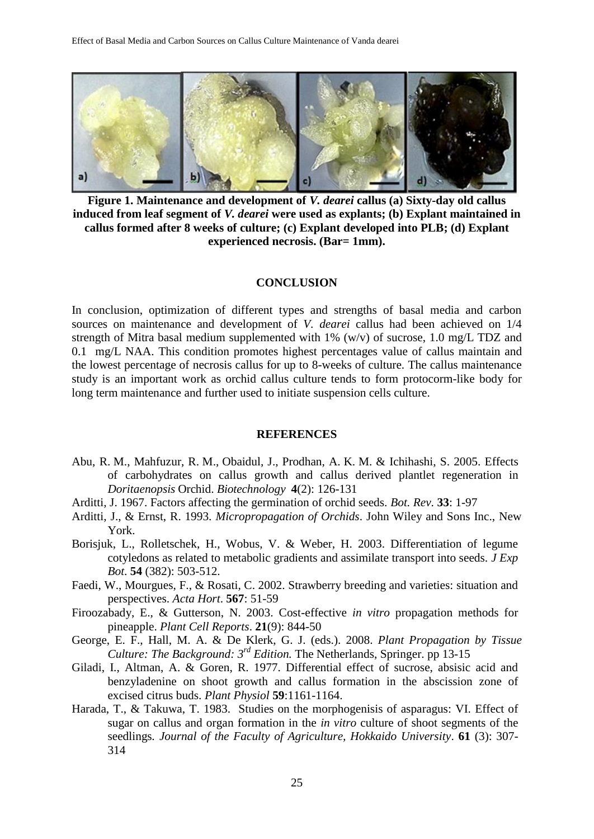

**Figure 1. Maintenance and development of** *V. dearei* **callus (a) Sixty-day old callus induced from leaf segment of** *V. dearei* **were used as explants; (b) Explant maintained in callus formed after 8 weeks of culture; (c) Explant developed into PLB; (d) Explant experienced necrosis. (Bar= 1mm).**

#### **CONCLUSION**

In conclusion, optimization of different types and strengths of basal media and carbon sources on maintenance and development of *V. dearei* callus had been achieved on 1/4 strength of Mitra basal medium supplemented with 1% (w/v) of sucrose, 1.0 mg/L TDZ and 0.1 mg/L NAA. This condition promotes highest percentages value of callus maintain and the lowest percentage of necrosis callus for up to 8-weeks of culture. The callus maintenance study is an important work as orchid callus culture tends to form protocorm-like body for long term maintenance and further used to initiate suspension cells culture.

#### **REFERENCES**

- Abu, R. M., Mahfuzur, R. M., Obaidul, J., Prodhan, A. K. M. & Ichihashi, S. 2005. Effects of carbohydrates on callus growth and callus derived plantlet regeneration in *Doritaenopsis* Orchid. *Biotechnology* **4**(2): 126-131
- Arditti, J. 1967. Factors affecting the germination of orchid seeds. *Bot. Rev*. **33**: 1-97
- Arditti, J., & Ernst, R. 1993. *Micropropagation of Orchids*. John Wiley and Sons Inc., New York.
- Borisjuk, L., Rolletschek, H., Wobus, V. & Weber, H. 2003. Differentiation of legume cotyledons as related to metabolic gradients and assimilate transport into seeds. *J Exp Bot*. **54** (382): 503-512.
- Faedi, W., Mourgues, F., & Rosati, C. 2002. Strawberry breeding and varieties: situation and perspectives. *Acta Hort*. **567**: 51-59
- Firoozabady, E., & Gutterson, N. 2003. Cost-effective *in vitro* propagation methods for pineapple. *Plant Cell Reports*. **21**(9): 844-50
- George, E. F., Hall, M. A. & De Klerk, G. J. (eds.). 2008. *Plant Propagation by Tissue Culture: The Background: 3rd Edition.* The Netherlands, Springer. pp 13-15
- Giladi, I., Altman, A. & Goren, R. 1977. Differential effect of sucrose, absisic acid and benzyladenine on shoot growth and callus formation in the abscission zone of excised citrus buds. *Plant Physiol* **59**:1161-1164.
- Harada, T., & Takuwa, T. 1983. Studies on the morphogenisis of asparagus: VI. Effect of sugar on callus and organ formation in the *in vitro* culture of shoot segments of the seedlings*. Journal of the Faculty of Agriculture, Hokkaido University*. **61** (3): 307- 314